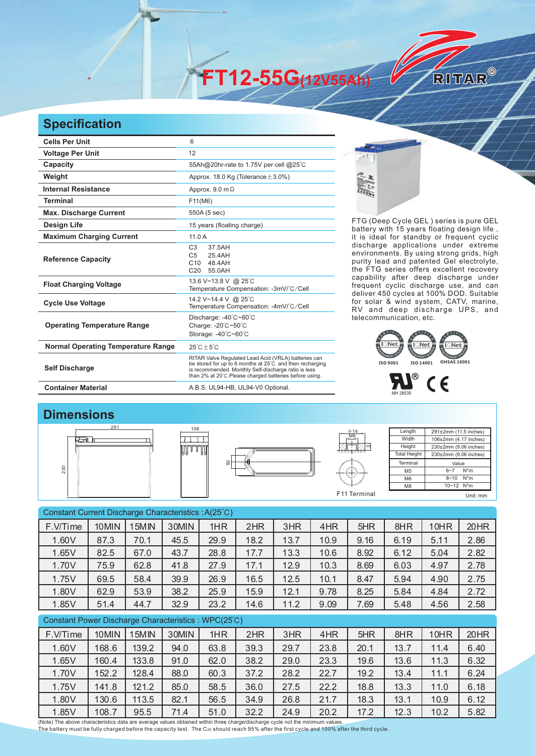**FT12-55G(12V55Ah)** 

## **Specification**

| <b>Cells Per Unit</b>                     | 6                                                                                                                                                                                                                                   |
|-------------------------------------------|-------------------------------------------------------------------------------------------------------------------------------------------------------------------------------------------------------------------------------------|
| <b>Voltage Per Unit</b>                   | 12                                                                                                                                                                                                                                  |
| Capacity                                  | 55Ah@20hr-rate to 1.75V per cell @25°C                                                                                                                                                                                              |
| Weight                                    | Approx. 18.0 Kg (Tolerance $\pm$ 3.0%)                                                                                                                                                                                              |
| <b>Internal Resistance</b>                | Approx. $9.0 \text{ m}\Omega$                                                                                                                                                                                                       |
| <b>Terminal</b>                           | F11(M6)                                                                                                                                                                                                                             |
| <b>Max. Discharge Current</b>             | 550A (5 sec)                                                                                                                                                                                                                        |
| <b>Design Life</b>                        | 15 years (floating charge)                                                                                                                                                                                                          |
| <b>Maximum Charging Current</b>           | 11.0A                                                                                                                                                                                                                               |
| <b>Reference Capacity</b>                 | C <sub>3</sub><br>37.5AH<br>25.4AH<br>C <sub>5</sub><br>C <sub>10</sub><br>48.4AH<br>C <sub>20</sub><br>55.0AH                                                                                                                      |
| <b>Float Charging Voltage</b>             | 13.6 V~13.8 V @ 25°C<br>Temperature Compensation: -3mV/°C/Cell                                                                                                                                                                      |
| <b>Cycle Use Voltage</b>                  | 14.2 V~14.4 V @ 25°C<br>Temperature Compensation: -4mV/°C/Cell                                                                                                                                                                      |
| <b>Operating Temperature Range</b>        | Discharge: -40°C~60°C<br>Charge: -20°C~50°C<br>Storage: -40°C~60°C                                                                                                                                                                  |
| <b>Normal Operating Temperature Range</b> | $25^{\circ}$ C + $5^{\circ}$ C                                                                                                                                                                                                      |
| <b>Self Discharge</b>                     | RITAR Valve Regulated Lead Acid (VRLA) batteries can<br>be stored for up to 6 months at 25°C and then recharging<br>is recommended. Monthly Self-discharge ratio is less<br>than 2% at 20°C. Please charged batteries before using. |
| <b>Container Material</b>                 | A.B.S. UL94-HB, UL94-V0 Optional.                                                                                                                                                                                                   |



FTG (Deep Cycle GEL) series is pure GEL battery with 15 years floating design life, it is ideal for standby or frequent cyclic discharge applications under extreme environments. By using strong grids, high purity lead and patented Gel electrolyte, the FTG series offers excellent recovery capability after deep discharge under frequent cyclic discharge use, and can deliver 450 cycles at 100% DOD. Suitable for solar & wind system, CATV, marine, RV and deep discharge UPS, and telecommunication, etc.

RITAR®





## **Dimensions**







Length **Width Height Total Height** 291±2mm (11.5 inches) 106±2mm (4.17 inches) 230±2mm (9.06 inches) 230±2mm (9.06 inches) **Terminal** M5 M6 M8 Value 6~7 N\*m 8~10 N\*m 10~12 N\*m F11 Terminal Unit: mm

| Constant Current Discharge Characteristics: A(25°C) |       |       |       |      |      |      |      |      |      |      |      |
|-----------------------------------------------------|-------|-------|-------|------|------|------|------|------|------|------|------|
| F.V/Time                                            | 10MIN | 15MIN | 30MIN | 1HR  | 2HR  | 3HR  | 4HR  | 5HR  | 8HR  | 10HR | 20HR |
| 1.60V                                               | 87.3  | 70.1  | 45.5  | 29.9 | 18.2 | 13.7 | 10.9 | 9.16 | 6.19 | 5.11 | 2.86 |
| 1.65V                                               | 82.5  | 67.0  | 43.7  | 28.8 | 17.7 | 13.3 | 10.6 | 8.92 | 6.12 | 5.04 | 2.82 |
| 1.70V                                               | 75.9  | 62.8  | 41.8  | 27.9 | 17.1 | 12.9 | 10.3 | 8.69 | 6.03 | 4.97 | 2.78 |
| 1.75V                                               | 69.5  | 58.4  | 39.9  | 26.9 | 16.5 | 12.5 | 10.1 | 8.47 | 5.94 | 4.90 | 2.75 |
| 1.80V                                               | 62.9  | 53.9  | 38.2  | 25.9 | 15.9 | 12.1 | 9.78 | 8.25 | 5.84 | 4.84 | 2.72 |
| 1.85V                                               | 51.4  | 44.7  | 32.9  | 23.2 | 14.6 | 11.2 | 9.09 | 7.69 | 5.48 | 4.56 | 2.58 |
| Constant Power Discharge Characteristics: WPC(25°C) |       |       |       |      |      |      |      |      |      |      |      |
|                                                     |       |       |       |      |      |      |      |      |      |      |      |
| F.V/Time                                            | 10MIN | 15MIN | 30MIN | 1HR  | 2HR  | 3HR  | 4HR  | 5HR  | 8HR  | 10HR | 20HR |
| 1.60V                                               | 168.6 | 139.2 | 94.0  | 63.8 | 39.3 | 29.7 | 23.8 | 20.1 | 13.7 | 11.4 | 6.40 |
| 1.65V                                               | 160.4 | 133.8 | 91.0  | 62.0 | 38.2 | 29.0 | 23.3 | 19.6 | 13.6 | 11.3 | 6.32 |
| 1.70V                                               | 152.2 | 128.4 | 88.0  | 60.3 | 37.2 | 28.2 | 22.7 | 19.2 | 13.4 | 11.1 | 6.24 |
| 1.75V                                               | 141.8 | 121.2 | 85.0  | 58.5 | 36.0 | 27.5 | 22.2 | 18.8 | 13.3 | 11.0 | 6.18 |
| 1.80V                                               | 130.6 | 113.5 | 82.1  | 56.5 | 34.9 | 26.8 | 21.7 | 18.3 | 13.1 | 10.9 | 6.12 |

(Note) The above characteristics data are average values obtained within three charge/discharge cycle not the minimum values.<br>The battery must be fully charged before the capacity test. The C20 should reach 95% after the